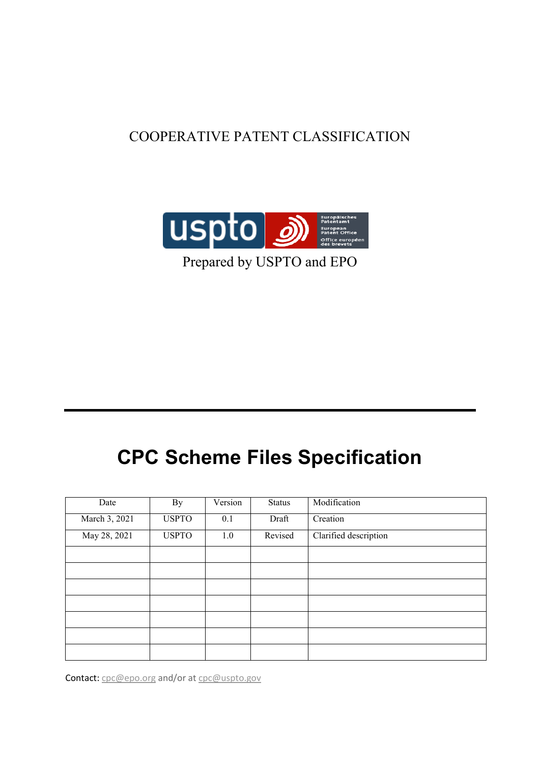# COOPERATIVE PATENT CLASSIFICATION



Prepared by USPTO and EPO

# **CPC Scheme Files Specification**

| Date          | By           | Version | <b>Status</b> | Modification          |
|---------------|--------------|---------|---------------|-----------------------|
| March 3, 2021 | <b>USPTO</b> | 0.1     | Draft         | Creation              |
| May 28, 2021  | <b>USPTO</b> | 1.0     | Revised       | Clarified description |
|               |              |         |               |                       |
|               |              |         |               |                       |
|               |              |         |               |                       |
|               |              |         |               |                       |
|               |              |         |               |                       |
|               |              |         |               |                       |
|               |              |         |               |                       |

Contact: [cpc@epo.org](mailto:cpc@epo.org) and/or at [cpc@uspto.gov](mailto:cpc@uspto.gov)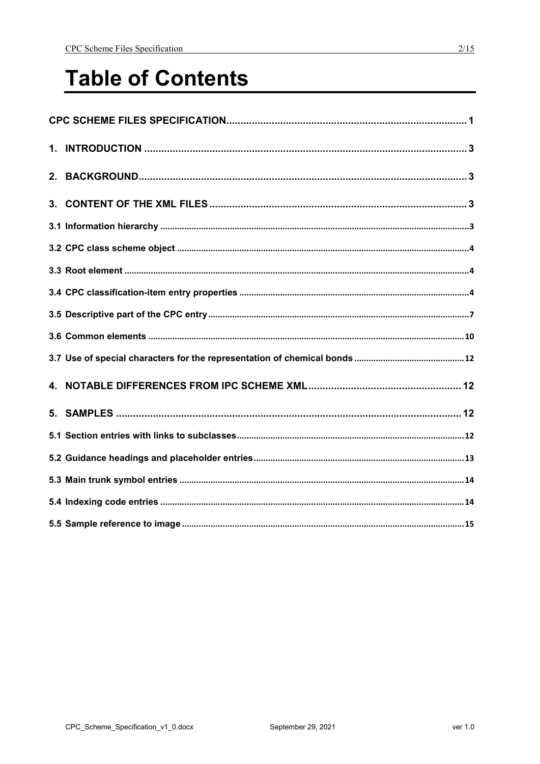# **Table of Contents**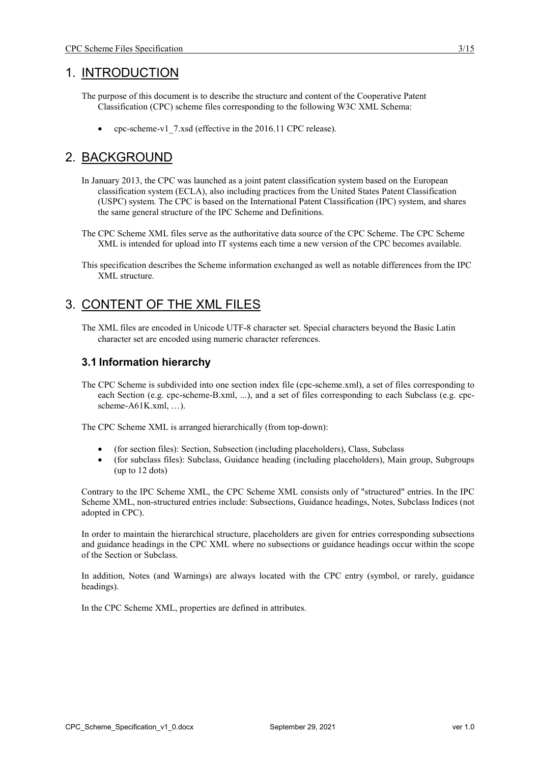# 1. INTRODUCTION

- The purpose of this document is to describe the structure and content of the Cooperative Patent Classification (CPC) scheme files corresponding to the following W3C XML Schema:
	- cpc-scheme-v1\_7.xsd (effective in the 2016.11 CPC release).

# 2. BACKGROUND

- In January 2013, the CPC was launched as a joint patent classification system based on the European classification system (ECLA), also including practices from the United States Patent Classification (USPC) system. The CPC is based on the International Patent Classification (IPC) system, and shares the same general structure of the IPC Scheme and Definitions.
- The CPC Scheme XML files serve as the authoritative data source of the CPC Scheme. The CPC Scheme XML is intended for upload into IT systems each time a new version of the CPC becomes available.
- This specification describes the Scheme information exchanged as well as notable differences from the IPC XML structure.

# 3. CONTENT OF THE XML FILES

The XML files are encoded in Unicode UTF-8 character set. Special characters beyond the Basic Latin character set are encoded using numeric character references.

## **3.1 Information hierarchy**

The CPC Scheme is subdivided into one section index file (cpc-scheme.xml), a set of files corresponding to each Section (e.g. cpc-scheme-B.xml, ...), and a set of files corresponding to each Subclass (e.g. cpcscheme-A61K.xml, …).

The CPC Scheme XML is arranged hierarchically (from top-down):

- (for section files): Section, Subsection (including placeholders), Class, Subclass
- (for subclass files): Subclass, Guidance heading (including placeholders), Main group, Subgroups (up to 12 dots)

Contrary to the IPC Scheme XML, the CPC Scheme XML consists only of "structured" entries. In the IPC Scheme XML, non-structured entries include: Subsections, Guidance headings, Notes, Subclass Indices (not adopted in CPC).

In order to maintain the hierarchical structure, placeholders are given for entries corresponding subsections and guidance headings in the CPC XML where no subsections or guidance headings occur within the scope of the Section or Subclass.

In addition, Notes (and Warnings) are always located with the CPC entry (symbol, or rarely, guidance headings).

In the CPC Scheme XML, properties are defined in attributes.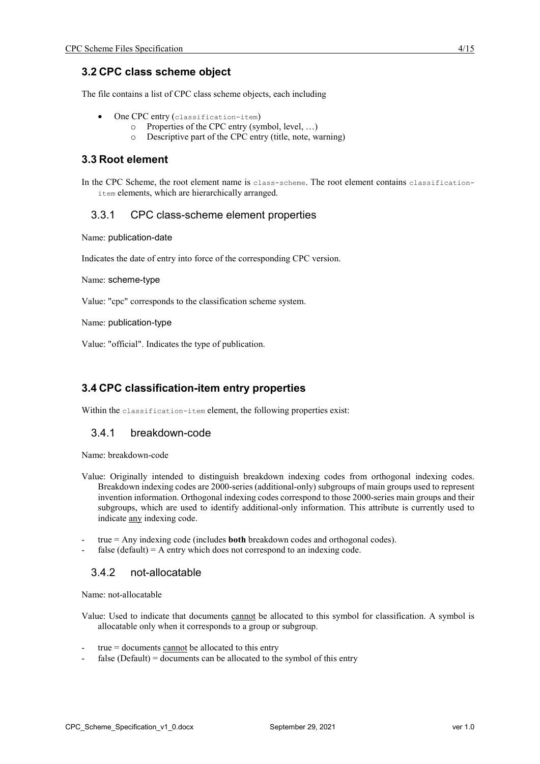## **3.2 CPC class scheme object**

The file contains a list of CPC class scheme objects, each including

- One CPC entry (classification-item)
	- o Properties of the CPC entry (symbol, level, …)
	- o Descriptive part of the CPC entry (title, note, warning)

#### **3.3 Root element**

In the CPC Scheme, the root element name is class-scheme. The root element contains classificationitem elements, which are hierarchically arranged.

#### 3.3.1 CPC class-scheme element properties

Name: publication-date

Indicates the date of entry into force of the corresponding CPC version.

Name: scheme-type

Value: "cpc" corresponds to the classification scheme system.

Name: publication-type

Value: "official". Indicates the type of publication.

# **3.4 CPC classification-item entry properties**

Within the classification-item element, the following properties exist:

#### 3.4.1 breakdown-code

Name: breakdown-code

- Value: Originally intended to distinguish breakdown indexing codes from orthogonal indexing codes. Breakdown indexing codes are 2000-series (additional-only) subgroups of main groups used to represent invention information. Orthogonal indexing codes correspond to those 2000-series main groups and their subgroups, which are used to identify additional-only information. This attribute is currently used to indicate any indexing code.
- true = Any indexing code (includes **both** breakdown codes and orthogonal codes).
- false (default) = A entry which does not correspond to an indexing code.

#### 3.4.2 not-allocatable

Name: not-allocatable

Value: Used to indicate that documents cannot be allocated to this symbol for classification. A symbol is allocatable only when it corresponds to a group or subgroup.

- $true = documents$  cannot be allocated to this entry
- false (Default) = documents can be allocated to the symbol of this entry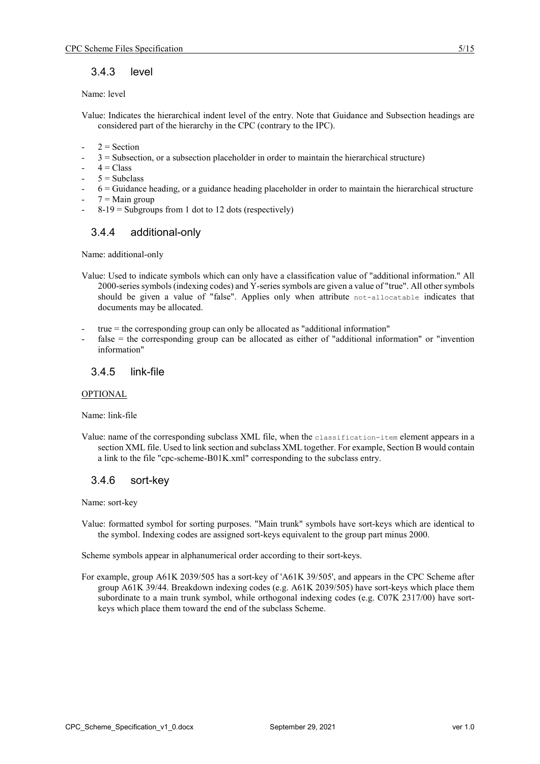## 3.4.3 level

#### Name: level

Value: Indicates the hierarchical indent level of the entry. Note that Guidance and Subsection headings are considered part of the hierarchy in the CPC (contrary to the IPC).

- $2$  = Section
- $3 =$  Subsection, or a subsection placeholder in order to maintain the hierarchical structure)
- $4$  = Class
- $5 = Subclass$
- $6 =$  Guidance heading, or a guidance heading placeholder in order to maintain the hierarchical structure
- $7 =$ Main group
- $8-19$  = Subgroups from 1 dot to 12 dots (respectively)

#### 3.4.4 additional-only

Name: additional-only

Value: Used to indicate symbols which can only have a classification value of "additional information." All 2000-series symbols (indexing codes) and Y-series symbols are given a value of "true". All other symbols should be given a value of "false". Applies only when attribute not-allocatable indicates that documents may be allocated.

- $true = the corresponding group can only be allocated as "additional information"$
- false = the corresponding group can be allocated as either of "additional information" or "invention" information"

#### 3.4.5 link-file

#### OPTIONAL

Name: link-file

Value: name of the corresponding subclass XML file, when the classification-item element appears in a section XML file. Used to link section and subclass XML together. For example, Section B would contain a link to the file "cpc-scheme-B01K.xml" corresponding to the subclass entry.

#### 3.4.6 sort-key

Name: sort-key

Value: formatted symbol for sorting purposes. "Main trunk" symbols have sort-keys which are identical to the symbol. Indexing codes are assigned sort-keys equivalent to the group part minus 2000.

Scheme symbols appear in alphanumerical order according to their sort-keys.

For example, group A61K 2039/505 has a sort-key of 'A61K 39/505', and appears in the CPC Scheme after group A61K 39/44. Breakdown indexing codes (e.g. A61K 2039/505) have sort-keys which place them subordinate to a main trunk symbol, while orthogonal indexing codes (e.g. C07K 2317/00) have sortkeys which place them toward the end of the subclass Scheme.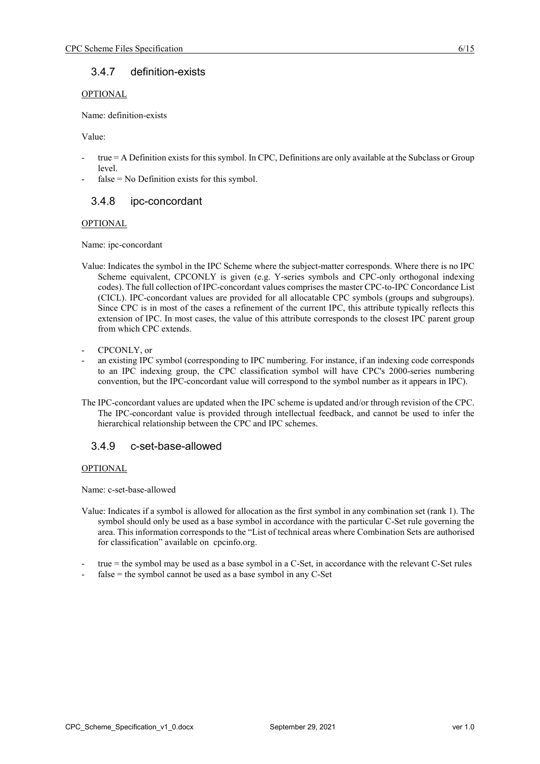## 3.4.7 definition-exists

#### OPTIONAL

Name: definition-exists

Value:

- $true = A$  Definition exists for this symbol. In CPC, Definitions are only available at the Subclass or Group level.
- $false = No$  Definition exists for this symbol.

# 3.4.8 ipc-concordant

#### **OPTIONAL**

Name: ipc-concordant

- Value: Indicates the symbol in the IPC Scheme where the subject-matter corresponds. Where there is no IPC Scheme equivalent, CPCONLY is given (e.g. Y-series symbols and CPC-only orthogonal indexing codes). The full collection of IPC-concordant values comprises the master CPC-to-IPC Concordance List (CICL). IPC-concordant values are provided for all allocatable CPC symbols (groups and subgroups). Since CPC is in most of the cases a refinement of the current IPC, this attribute typically reflects this extension of IPC. In most cases, the value of this attribute corresponds to the closest IPC parent group from which CPC extends.
- CPCONLY, or
- an existing IPC symbol (corresponding to IPC numbering. For instance, if an indexing code corresponds to an IPC indexing group, the CPC classification symbol will have CPC's 2000-series numbering convention, but the IPC-concordant value will correspond to the symbol number as it appears in IPC).
- The IPC-concordant values are updated when the IPC scheme is updated and/or through revision of the CPC. The IPC-concordant value is provided through intellectual feedback, and cannot be used to infer the hierarchical relationship between the CPC and IPC schemes.

#### 3.4.9 c-set-base-allowed

#### OPTIONAL

Name: c-set-base-allowed

- Value: Indicates if a symbol is allowed for allocation as the first symbol in any combination set (rank 1). The symbol should only be used as a base symbol in accordance with the particular C-Set rule governing the area. This information corresponds to the "List of technical areas where Combination Sets are authorised for classification" available on cpcinfo.org.
- true = the symbol may be used as a base symbol in a C-Set, in accordance with the relevant C-Set rules
- $false =$  the symbol cannot be used as a base symbol in any C-Set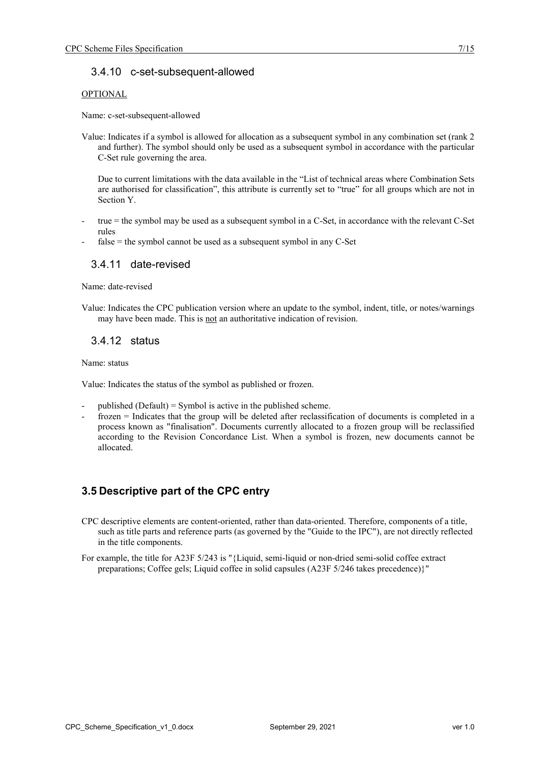#### OPTIONAL

Name: c-set-subsequent-allowed

Value: Indicates if a symbol is allowed for allocation as a subsequent symbol in any combination set (rank 2 and further). The symbol should only be used as a subsequent symbol in accordance with the particular C-Set rule governing the area.

Due to current limitations with the data available in the "List of technical areas where Combination Sets are authorised for classification", this attribute is currently set to "true" for all groups which are not in Section Y.

- true = the symbol may be used as a subsequent symbol in a C-Set, in accordance with the relevant C-Set rules
- $false = the$  symbol cannot be used as a subsequent symbol in any C-Set

## 3.4.11 date-revised

Name: date-revised

Value: Indicates the CPC publication version where an update to the symbol, indent, title, or notes/warnings may have been made. This is not an authoritative indication of revision.

# 3.4.12 status

Name: status

Value: Indicates the status of the symbol as published or frozen.

- published (Default) = Symbol is active in the published scheme.
- frozen = Indicates that the group will be deleted after reclassification of documents is completed in a process known as "finalisation". Documents currently allocated to a frozen group will be reclassified according to the Revision Concordance List. When a symbol is frozen, new documents cannot be allocated.

# **3.5 Descriptive part of the CPC entry**

- CPC descriptive elements are content-oriented, rather than data-oriented. Therefore, components of a title, such as title parts and reference parts (as governed by the "Guide to the IPC"), are not directly reflected in the title components.
- For example, the title for A23F 5/243 is "{Liquid, semi-liquid or non-dried semi-solid coffee extract preparations; Coffee gels; Liquid coffee in solid capsules (A23F 5/246 takes precedence)}"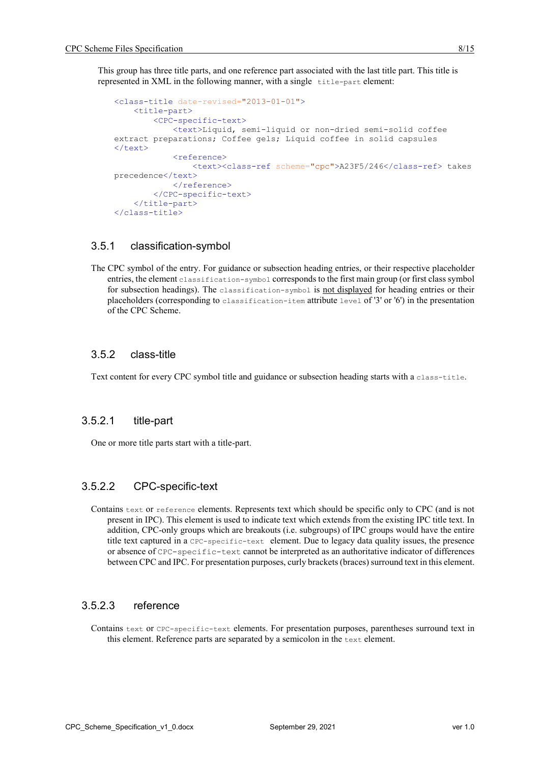This group has three title parts, and one reference part associated with the last title part. This title is represented in XML in the following manner, with a single  $\pm$ itle-part element:

```
<class-title date-revised="2013-01-01">
     <title-part>
         <CPC-specific-text>
              <text>Liquid, semi-liquid or non-dried semi-solid coffee 
extract preparations; Coffee gels; Liquid coffee in solid capsules 
\langle/text>
              <reference>
                  <text><class-ref scheme="cpc">A23F5/246</class-ref> takes 
precedence</text>
            \langlereference>
         </CPC-specific-text>
     </title-part>
</class-title>
```
## 3.5.1 classification-symbol

The CPC symbol of the entry. For guidance or subsection heading entries, or their respective placeholder entries, the element classification-symbol corresponds to the first main group (or first class symbol for subsection headings). The classification-symbol is not displayed for heading entries or their placeholders (corresponding to classification-item attribute level of '3' or '6') in the presentation of the CPC Scheme.

#### 3.5.2 class-title

Text content for every CPC symbol title and guidance or subsection heading starts with a class-title.

#### 3.5.2.1 title-part

One or more title parts start with a title-part.

#### 3.5.2.2 CPC-specific-text

Contains text or reference elements. Represents text which should be specific only to CPC (and is not present in IPC). This element is used to indicate text which extends from the existing IPC title text. In addition, CPC-only groups which are breakouts (i.e. subgroups) of IPC groups would have the entire title text captured in a CPC-specific-text element. Due to legacy data quality issues, the presence or absence of CPC-specific-text cannot be interpreted as an authoritative indicator of differences between CPC and IPC. For presentation purposes, curly brackets (braces) surround text in this element.

#### 3.5.2.3 reference

Contains text or CPC-specific-text elements. For presentation purposes, parentheses surround text in this element. Reference parts are separated by a semicolon in the text element.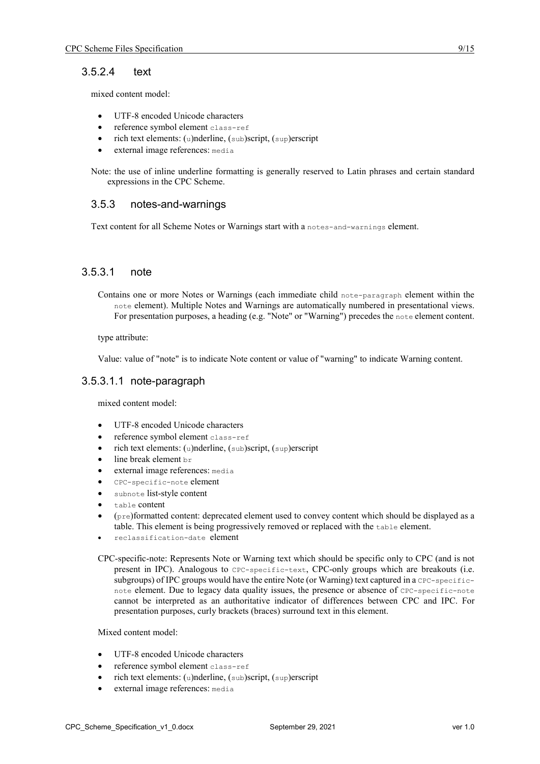## 3.5.2.4 text

mixed content model:

- UTF-8 encoded Unicode characters
- reference symbol element class-ref
- rich text elements: (u)nderline, (sub)script, (sup)erscript
- external image references: media

Note: the use of inline underline formatting is generally reserved to Latin phrases and certain standard expressions in the CPC Scheme.

#### 3.5.3 notes-and-warnings

Text content for all Scheme Notes or Warnings start with a notes-and-warnings element.

## 3.5.3.1 note

Contains one or more Notes or Warnings (each immediate child note-paragraph element within the note element). Multiple Notes and Warnings are automatically numbered in presentational views. For presentation purposes, a heading (e.g. "Note" or "Warning") precedes the note element content.

type attribute:

Value: value of "note" is to indicate Note content or value of "warning" to indicate Warning content.

#### 3.5.3.1.1 note-paragraph

mixed content model:

- UTF-8 encoded Unicode characters
- reference symbol element class-ref
- rich text elements: (u)nderline, (sub)script, (sup)erscript
- line break element br
- external image references: media
- CPC-specific-note element
- subnote list-style content
- table content
- (pre)formatted content: deprecated element used to convey content which should be displayed as a table. This element is being progressively removed or replaced with the table element.
- reclassification-date element

CPC-specific-note: Represents Note or Warning text which should be specific only to CPC (and is not present in IPC). Analogous to CPC-specific-text, CPC-only groups which are breakouts (i.e. subgroups) of IPC groups would have the entire Note (or Warning) text captured in a CPC-specificnote element. Due to legacy data quality issues, the presence or absence of CPC-specific-note cannot be interpreted as an authoritative indicator of differences between CPC and IPC. For presentation purposes, curly brackets (braces) surround text in this element.

#### Mixed content model:

- UTF-8 encoded Unicode characters
- reference symbol element class-ref
- rich text elements: (u)nderline, (sub)script, (sup)erscript
- external image references: media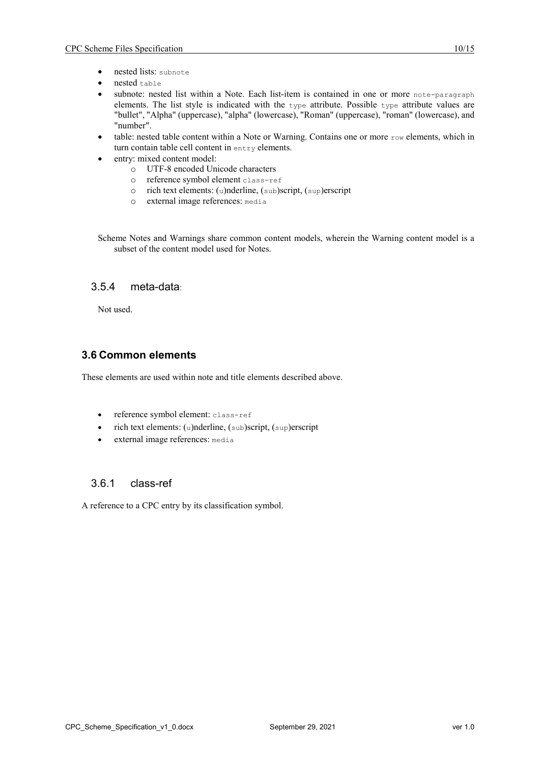- nested lists: subnote
- nested table
- subnote: nested list within a Note. Each list-item is contained in one or more note-paragraph elements. The list style is indicated with the type attribute. Possible type attribute values are "bullet", "Alpha" (uppercase), "alpha" (lowercase), "Roman" (uppercase), "roman" (lowercase), and "number".
- table: nested table content within a Note or Warning. Contains one or more  $_{\text{row}}$  elements, which in turn contain table cell content in entry elements.
- entry: mixed content model:
	- o UTF-8 encoded Unicode characters
	- o reference symbol element class-ref
	- o rich text elements: (u)nderline, (sub)script, (sup)erscript
	- o external image references: media

Scheme Notes and Warnings share common content models, wherein the Warning content model is a subset of the content model used for Notes.

# 3.5.4 meta-data:

Not used.

#### **3.6 Common elements**

These elements are used within note and title elements described above.

- reference symbol element: class-ref
- rich text elements: (u)nderline, (sub)script, (sup)erscript
- external image references: media

#### 3.6.1 class-ref

A reference to a CPC entry by its classification symbol.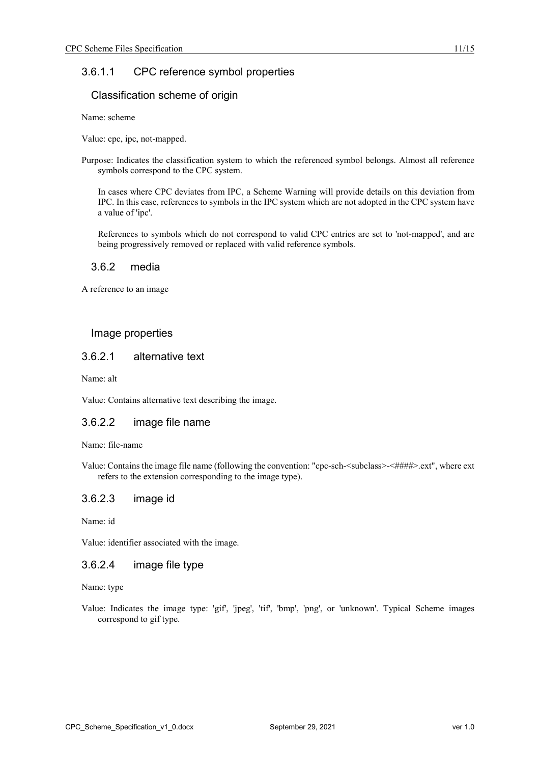# 3.6.1.1 CPC reference symbol properties

#### Classification scheme of origin

Name: scheme

Value: cpc, ipc, not-mapped.

Purpose: Indicates the classification system to which the referenced symbol belongs. Almost all reference symbols correspond to the CPC system.

In cases where CPC deviates from IPC, a Scheme Warning will provide details on this deviation from IPC. In this case, references to symbols in the IPC system which are not adopted in the CPC system have a value of 'ipc'.

References to symbols which do not correspond to valid CPC entries are set to 'not-mapped', and are being progressively removed or replaced with valid reference symbols.

#### 3.6.2 media

A reference to an image

#### Image properties

#### 3.6.2.1 alternative text

Name: alt

Value: Contains alternative text describing the image.

#### 3.6.2.2 image file name

Name: file-name

Value: Contains the image file name (following the convention: "cpc-sch-<subclass>-<####>.ext", where ext refers to the extension corresponding to the image type).

#### 3.6.2.3 image id

Name: id

Value: identifier associated with the image.

# 3.6.2.4 image file type

Name: type

Value: Indicates the image type: 'gif', 'jpeg', 'tif', 'bmp', 'png', or 'unknown'. Typical Scheme images correspond to gif type.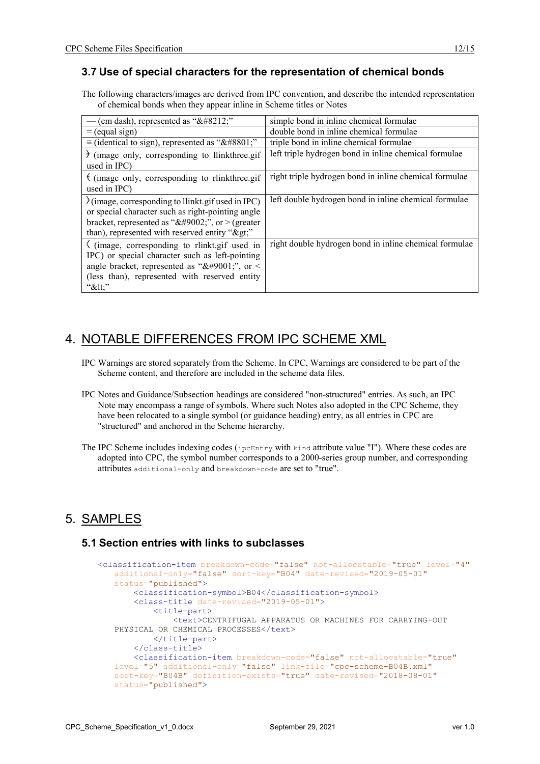## **3.7 Use of special characters for the representation of chemical bonds**

The following characters/images are derived from IPC convention, and describe the intended representation of chemical bonds when they appear inline in Scheme titles or Notes

| (em dash), represented as "—"                                                                                                                                                                                              | simple bond in inline chemical formulae                |
|----------------------------------------------------------------------------------------------------------------------------------------------------------------------------------------------------------------------------|--------------------------------------------------------|
| $=$ (equal sign)                                                                                                                                                                                                           | double bond in inline chemical formulae                |
| $\equiv$ (identical to sign), represented as "≡"                                                                                                                                                                           | triple bond in inline chemical formulae                |
| $\}$ (image only, corresponding to llinkthree.gif<br>used in IPC)                                                                                                                                                          | left triple hydrogen bond in inline chemical formulae  |
| $\frac{1}{2}$ (image only, corresponding to rlinkthree.gif<br>used in IPC)                                                                                                                                                 | right triple hydrogen bond in inline chemical formulae |
| l(image, corresponding to llinkt.gif used in IPC)<br>or special character such as right-pointing angle<br>bracket, represented as " $&\#9002$ ;", or > (greater<br>than), represented with reserved entity ">"             | left double hydrogen bond in inline chemical formulae  |
| $\langle$ (image, corresponding to rlinkt.gif used in<br>IPC) or special character such as left-pointing<br>angle bracket, represented as " $&\#9001$ ;", or <<br>(less than), represented with reserved entity<br>" $<$ " | right double hydrogen bond in inline chemical formulae |

# 4. NOTABLE DIFFERENCES FROM IPC SCHEME XML

- IPC Warnings are stored separately from the Scheme. In CPC, Warnings are considered to be part of the Scheme content, and therefore are included in the scheme data files.
- IPC Notes and Guidance/Subsection headings are considered "non-structured" entries. As such, an IPC Note may encompass a range of symbols. Where such Notes also adopted in the CPC Scheme, they have been relocated to a single symbol (or guidance heading) entry, as all entries in CPC are "structured" and anchored in the Scheme hierarchy.
- The IPC Scheme includes indexing codes (ipcEntry with kind attribute value "I"). Where these codes are adopted into CPC, the symbol number corresponds to a 2000-series group number, and corresponding attributes additional-only and breakdown-code are set to "true".

# 5. SAMPLES

#### **5.1 Section entries with links to subclasses**

```
<classification-item breakdown-code="false" not-allocatable="true" level="4"
   additional-only="false" sort-key="B04" date-revised="2019-05-01"
   status="published">
        <classification-symbol>B04</classification-symbol>
        <class-title date-revised="2019-05-01">
            <title-part>
                <text>CENTRIFUGAL APPARATUS OR MACHINES FOR CARRYING-OUT 
   PHYSICAL OR CHEMICAL PROCESSES</text>
            </title-part>
        </class-title>
        <classification-item breakdown-code="false" not-allocatable="true"
   level="5" additional-only="false" link-file="cpc-scheme-B04B.xml"
   sort-key="B04B" definition-exists="true" date-revised="2018-08-01"
   status="published">
```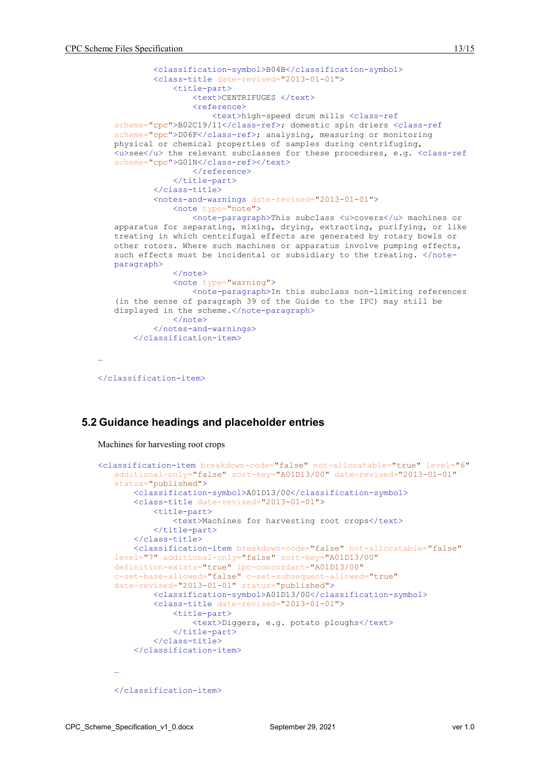```
 <classification-symbol>B04B</classification-symbol>
            <class-title date-revised="2013-01-01">
                 <title-part>
                    <text>CENTRIFUGES </text>
                     <reference>
                         <text>high-speed drum mills <class-ref
   scheme="cpc">B02C19/11</class-ref>; domestic spin driers <class-ref
   scheme="cpc">D06F</class-ref>; analysing, measuring or monitoring
   physical or chemical properties of samples during centrifuging, 
   <u>see</u> the relevant subclasses for these procedures, e.g. <class-ref
   scheme="cpc">G01N</class-ref></text>
                    \langle/reference>
                </title-part>
            </class-title>
            <notes-and-warnings date-revised="2013-01-01">
                 <note type="note">
                    <note-paragraph>This subclass <u>covers</u> machines or 
   apparatus for separating, mixing, drying, extracting, purifying, or like 
   treating in which centrifugal effects are generated by rotary bowls or 
   other rotors. Where such machines or apparatus involve pumping effects, 
   such effects must be incidental or subsidiary to the treating. </note-
   paragraph>
                 </note>
                 <note type="warning">
                    <note-paragraph>In this subclass non-limiting references 
   (in the sense of paragraph 39 of the Guide to the IPC) may still be 
   displayed in the scheme.</note-paragraph>
               \langle/note>
            </notes-and-warnings>
        </classification-item>
</classification-item>
```
#### **5.2 Guidance headings and placeholder entries**

Machines for harvesting root crops

…

```
<classification-item breakdown-code="false" not-allocatable="true" level="6"
   additional-only="false" sort-key="A01D13/00" date-revised="2013-01-01"
   status="published">
        <classification-symbol>A01D13/00</classification-symbol>
        <class-title date-revised="2013-01-01">
            <title-part>
                <text>Machines for harvesting root crops</text>
           </title-part>
        </class-title>
        <classification-item breakdown-code="false" not-allocatable="false"
   level="7" additional-only="false" sort-key="A01D13/00"
   definition-exists="true" ipc-concordant="A01D13/00"
   c-set-base-allowed="false" c-set-subsequent-allowed="true"
   date-revised="2013-01-01" status="published">
            <classification-symbol>A01D13/00</classification-symbol>
            <class-title date-revised="2013-01-01">
                <title-part>
                    <text>Diggers, e.g. potato ploughs</text>
                </title-part>
            </class-title>
        </classification-item>
   …
   </classification-item>
```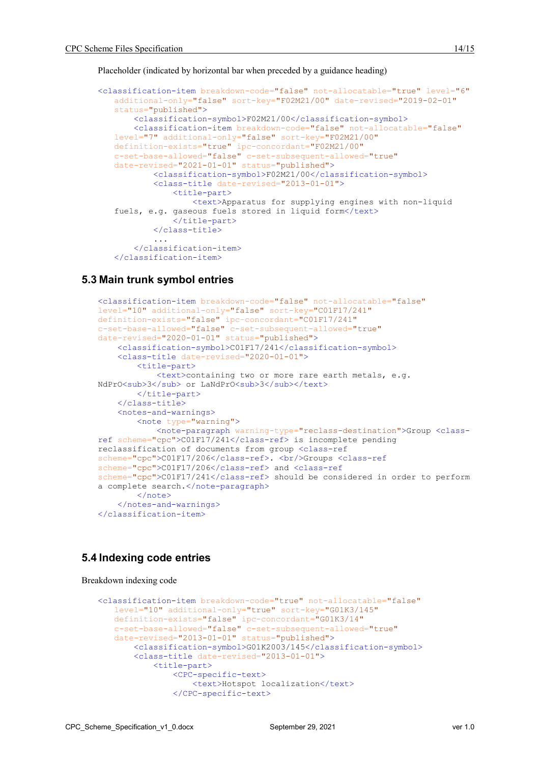Placeholder (indicated by horizontal bar when preceded by a guidance heading)

```
<classification-item breakdown-code="false" not-allocatable="true" level="6"
   additional-only="false" sort-key="F02M21/00" date-revised="2019-02-01"
   status="published">
        <classification-symbol>F02M21/00</classification-symbol>
        <classification-item breakdown-code="false" not-allocatable="false"
   level="7" additional-only="false" sort-key="F02M21/00"
   definition-exists="true" ipc-concordant="F02M21/00"
   c-set-base-allowed="false" c-set-subsequent-allowed="true"
   date-revised="2021-01-01" status="published">
            <classification-symbol>F02M21/00</classification-symbol>
            <class-title date-revised="2013-01-01">
                <title-part>
                    <text>Apparatus for supplying engines with non-liquid 
   fuels, e.g. gaseous fuels stored in liquid form</text>
                </title-part>
            </class-title>
    ...
    </classification-item>
   </classification-item>
```
#### **5.3 Main trunk symbol entries**

```
<classification-item breakdown-code="false" not-allocatable="false"
level="10" additional-only="false" sort-key="C01F17/241"
definition-exists="false" ipc-concordant="C01F17/241"
c-set-base-allowed="false" c-set-subsequent-allowed="true"
date-revised="2020-01-01" status="published">
     <classification-symbol>C01F17/241</classification-symbol>
     <class-title date-revised="2020-01-01">
         <title-part>
             <text>containing two or more rare earth metals, e.g. 
NdPrO<sub>3</sub> or LaNdPrO<sub>3</sub></text>
         </title-part>
     </class-title>
     <notes-and-warnings>
         <note type="warning">
             <note-paragraph warning-type="reclass-destination">Group <class-
ref scheme="cpc">C01F17/241</class-ref> is incomplete pending 
reclassification of documents from group <class-ref
scheme="cpc">C01F17/206</class-ref>. <br/> <br/> <br/> <br/>class-ref
scheme="cpc">C01F17/206</class-ref> and <class-ref
scheme="cpc">C01F17/241</class-ref> should be considered in order to perform 
a complete search.</note-paragraph>
         </note>
     </notes-and-warnings>
</classification-item>
```
#### **5.4 Indexing code entries**

Breakdown indexing code

```
<classification-item breakdown-code="true" not-allocatable="false"
   level="10" additional-only="true" sort-key="G01K3/145"
   definition-exists="false" ipc-concordant="G01K3/14"
   c-set-base-allowed="false" c-set-subsequent-allowed="true"
   date-revised="2013-01-01" status="published">
        <classification-symbol>G01K2003/145</classification-symbol>
        <class-title date-revised="2013-01-01">
            <title-part>
                <CPC-specific-text>
                    <text>Hotspot localization</text>
                </CPC-specific-text>
```